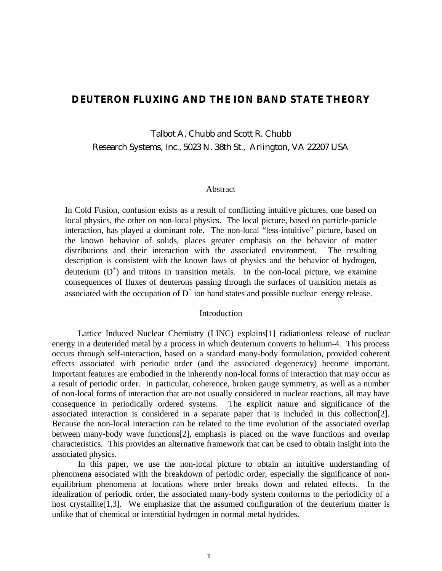# **DEUTERON FLUXING AND THE ION BAND STATE THEORY**

Talbot A. Chubb and Scott R. Chubb Research Systems, Inc., 5023 N. 38th St., Arlington, VA 22207 USA

#### Abstract

In Cold Fusion, confusion exists as a result of conflicting intuitive pictures, one based on local physics, the other on non-local physics. The local picture, based on particle-particle interaction, has played a dominant role. The non-local "less-intuitive" picture, based on the known behavior of solids, places greater emphasis on the behavior of matter distributions and their interaction with the associated environment. The resulting description is consistent with the known laws of physics and the behavior of hydrogen, deuterium  $(D^+)$  and tritons in transition metals. In the non-local picture, we examine consequences of fluxes of deuterons passing through the surfaces of transition metals as associated with the occupation of  $D^+$  ion band states and possible nuclear energy release.

## Introduction

Lattice Induced Nuclear Chemistry (LINC) explains[1] radiationless release of nuclear energy in a deuterided metal by a process in which deuterium converts to helium-4. This process occurs through self-interaction, based on a standard many-body formulation, provided coherent effects associated with periodic order (and the associated degeneracy) become important. Important features are embodied in the inherently non-local forms of interaction that may occur as a result of periodic order. In particular, coherence, broken gauge symmetry, as well as a number of non-local forms of interaction that are not usually considered in nuclear reactions, all may have consequence in periodically ordered systems. The explicit nature and significance of the associated interaction is considered in a separate paper that is included in this collection[2]. Because the non-local interaction can be related to the time evolution of the associated overlap between many-body wave functions[2], emphasis is placed on the wave functions and overlap characteristics. This provides an alternative framework that can be used to obtain insight into the associated physics.

In this paper, we use the non-local picture to obtain an intuitive understanding of phenomena associated with the breakdown of periodic order, especially the significance of nonequilibrium phenomena at locations where order breaks down and related effects. In the idealization of periodic order, the associated many-body system conforms to the periodicity of a host crystallite<sup>[1,3]</sup>. We emphasize that the assumed configuration of the deuterium matter is unlike that of chemical or interstitial hydrogen in normal metal hydrides.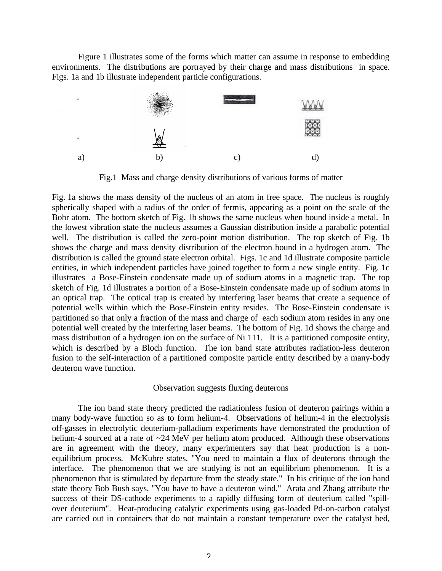Figure 1 illustrates some of the forms which matter can assume in response to embedding environments. The distributions are portrayed by their charge and mass distributions in space. Figs. 1a and 1b illustrate independent particle configurations.



Fig.1 Mass and charge density distributions of various forms of matter

Fig. 1a shows the mass density of the nucleus of an atom in free space. The nucleus is roughly spherically shaped with a radius of the order of fermis, appearing as a point on the scale of the Bohr atom. The bottom sketch of Fig. 1b shows the same nucleus when bound inside a metal. In the lowest vibration state the nucleus assumes a Gaussian distribution inside a parabolic potential well. The distribution is called the zero-point motion distribution. The top sketch of Fig. 1b shows the charge and mass density distribution of the electron bound in a hydrogen atom. The distribution is called the ground state electron orbital. Figs. 1c and 1d illustrate composite particle entities, in which independent particles have joined together to form a new single entity. Fig. 1c illustrates a Bose-Einstein condensate made up of sodium atoms in a magnetic trap. The top sketch of Fig. 1d illustrates a portion of a Bose-Einstein condensate made up of sodium atoms in an optical trap. The optical trap is created by interfering laser beams that create a sequence of potential wells within which the Bose-Einstein entity resides. The Bose-Einstein condensate is partitioned so that only a fraction of the mass and charge of each sodium atom resides in any one potential well created by the interfering laser beams. The bottom of Fig. 1d shows the charge and mass distribution of a hydrogen ion on the surface of Ni 111. It is a partitioned composite entity, which is described by a Bloch function. The ion band state attributes radiation-less deuteron fusion to the self-interaction of a partitioned composite particle entity described by a many-body deuteron wave function.

### Observation suggests fluxing deuterons

The ion band state theory predicted the radiationless fusion of deuteron pairings within a many body-wave function so as to form helium-4. Observations of helium-4 in the electrolysis off-gasses in electrolytic deuterium-palladium experiments have demonstrated the production of helium-4 sourced at a rate of ~24 MeV per helium atom produced. Although these observations are in agreement with the theory, many experimenters say that heat production is a nonequilibrium process. McKubre states. "You need to maintain a flux of deuterons through the interface. The phenomenon that we are studying is not an equilibrium phenomenon. It is a phenomenon that is stimulated by departure from the steady state." In his critique of the ion band state theory Bob Bush says, "You have to have a deuteron wind." Arata and Zhang attribute the success of their DS-cathode experiments to a rapidly diffusing form of deuterium called "spillover deuterium". Heat-producing catalytic experiments using gas-loaded Pd-on-carbon catalyst are carried out in containers that do not maintain a constant temperature over the catalyst bed,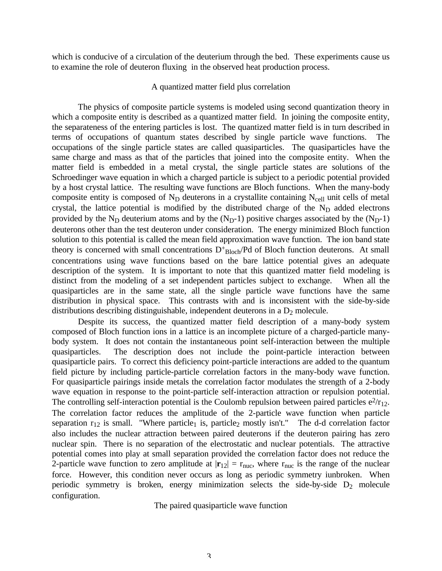which is conducive of a circulation of the deuterium through the bed. These experiments cause us to examine the role of deuteron fluxing in the observed heat production process.

### A quantized matter field plus correlation

The physics of composite particle systems is modeled using second quantization theory in which a composite entity is described as a quantized matter field. In joining the composite entity, the separateness of the entering particles is lost. The quantized matter field is in turn described in terms of occupations of quantum states described by single particle wave functions. The occupations of the single particle states are called quasiparticles. The quasiparticles have the same charge and mass as that of the particles that joined into the composite entity. When the matter field is embedded in a metal crystal, the single particle states are solutions of the Schroedinger wave equation in which a charged particle is subject to a periodic potential provided by a host crystal lattice. The resulting wave functions are Bloch functions. When the many-body composite entity is composed of  $N_D$  deuterons in a crystallite containing  $N_{cell}$  unit cells of metal crystal, the lattice potential is modified by the distributed charge of the  $N_D$  added electrons provided by the  $N_D$  deuterium atoms and by the  $(N_D-1)$  positive charges associated by the  $(N_D-1)$ deuterons other than the test deuteron under consideration. The energy minimized Bloch function solution to this potential is called the mean field approximation wave function. The ion band state theory is concerned with small concentrations  $D_{\text{Floch}}/Pd$  of Bloch function deuterons. At small concentrations using wave functions based on the bare lattice potential gives an adequate description of the system. It is important to note that this quantized matter field modeling is distinct from the modeling of a set independent particles subject to exchange. When all the quasiparticles are in the same state, all the single particle wave functions have the same distribution in physical space. This contrasts with and is inconsistent with the side-by-side distributions describing distinguishable, independent deuterons in a  $D_2$  molecule.

Despite its success, the quantized matter field description of a many-body system composed of Bloch function ions in a lattice is an incomplete picture of a charged-particle manybody system. It does not contain the instantaneous point self-interaction between the multiple quasiparticles. The description does not include the point-particle interaction between quasiparticle pairs. To correct this deficiency point-particle interactions are added to the quantum field picture by including particle-particle correlation factors in the many-body wave function. For quasiparticle pairings inside metals the correlation factor modulates the strength of a 2-body wave equation in response to the point-particle self-interaction attraction or repulsion potential. The controlling self-interaction potential is the Coulomb repulsion between paired particles  $e^2/r_{12}$ . The correlation factor reduces the amplitude of the 2-particle wave function when particle separation  $r_{12}$  is small. "Where particle<sub>1</sub> is, particle<sub>2</sub> mostly isn't." The d-d correlation factor also includes the nuclear attraction between paired deuterons if the deuteron pairing has zero nuclear spin. There is no separation of the electrostatic and nuclear potentials. The attractive potential comes into play at small separation provided the correlation factor does not reduce the 2-particle wave function to zero amplitude at  $|\mathbf{r}_{12}| = r_{\text{nuc}}$ , where  $r_{\text{nuc}}$  is the range of the nuclear force. However, this condition never occurs as long as periodic symmetry iunbroken. When periodic symmetry is broken, energy minimization selects the side-by-side  $D_2$  molecule configuration.

The paired quasiparticle wave function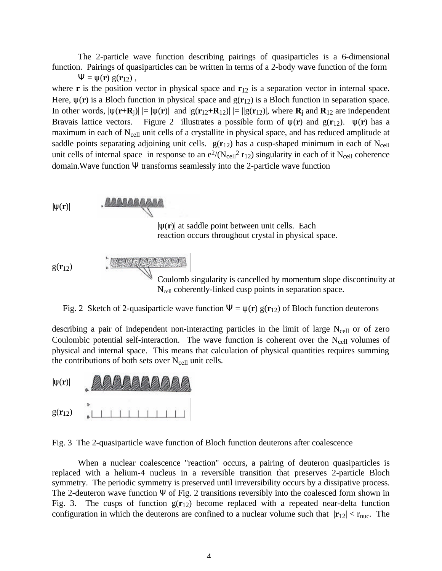The 2-particle wave function describing pairings of quasiparticles is a 6-dimensional function. Pairings of quasiparticles can be written in terms of a 2-body wave function of the form

 $\Psi = \psi(\mathbf{r}) g(\mathbf{r}_{12}),$ 

where **r** is the position vector in physical space and **r**<sub>12</sub> is a separation vector in internal space. Here,  $\psi(\mathbf{r})$  is a Bloch function in physical space and  $g(\mathbf{r}_{12})$  is a Bloch function in separation space. In other words,  $|\psi(\mathbf{r}+\mathbf{R}_j)| = |\psi(\mathbf{r})|$  and  $|g(\mathbf{r}_{12}+\mathbf{R}_{12})| = ||g(\mathbf{r}_{12})|$ , where  $\mathbf{R}_j$  and  $\mathbf{R}_{12}$  are independent Bravais lattice vectors. Figure 2 illustrates a possible form of  $\psi(\mathbf{r})$  and  $g(\mathbf{r}_{12})$ .  $\psi(\mathbf{r})$  has a maximum in each of  $N_{cell}$  unit cells of a crystallite in physical space, and has reduced amplitude at saddle points separating adjoining unit cells.  $g(r_{12})$  has a cusp-shaped minimum in each of N<sub>cell</sub> unit cells of internal space in response to an  $e^{2}/(N_{cell}^{2} r_{12})$  singularity in each of it  $N_{cell}$  coherence domain.Wave function Ψ transforms seamlessly into the 2-particle wave function



Fig. 2 Sketch of 2-quasiparticle wave function  $\Psi = \psi(\mathbf{r}) g(\mathbf{r}_{12})$  of Bloch function deuterons

describing a pair of independent non-interacting particles in the limit of large  $N_{cell}$  or of zero Coulombic potential self-interaction. The wave function is coherent over the  $N_{cell}$  volumes of physical and internal space. This means that calculation of physical quantities requires summing the contributions of both sets over  $N_{cell}$  unit cells.



Fig. 3 The 2-quasiparticle wave function of Bloch function deuterons after coalescence

When a nuclear coalescence "reaction" occurs, a pairing of deuteron quasiparticles is replaced with a helium-4 nucleus in a reversible transition that preserves 2-particle Bloch symmetry. The periodic symmetry is preserved until irreversibility occurs by a dissipative process. The 2-deuteron wave function Ψ of Fig. 2 transitions reversibly into the coalesced form shown in Fig. 3. The cusps of function g(**r**12) become replaced with a repeated near-delta function configuration in which the deuterons are confined to a nuclear volume such that  $|\mathbf{r}_{12}| < r_{\text{nuc}}$ . The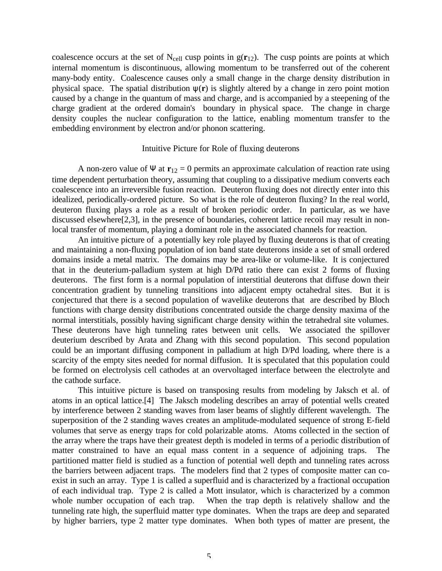coalescence occurs at the set of  $N_{cell}$  cusp points in  $g(\mathbf{r}_{12})$ . The cusp points are points at which internal momentum is discontinuous, allowing momentum to be transferred out of the coherent many-body entity. Coalescence causes only a small change in the charge density distribution in physical space. The spatial distribution ψ(**r**) is slightly altered by a change in zero point motion caused by a change in the quantum of mass and charge, and is accompanied by a steepening of the charge gradient at the ordered domain's boundary in physical space. The change in charge density couples the nuclear configuration to the lattice, enabling momentum transfer to the embedding environment by electron and/or phonon scattering.

#### Intuitive Picture for Role of fluxing deuterons

A non-zero value of  $\Psi$  at  $\mathbf{r}_{12} = 0$  permits an approximate calculation of reaction rate using time dependent perturbation theory, assuming that coupling to a dissipative medium converts each coalescence into an irreversible fusion reaction. Deuteron fluxing does not directly enter into this idealized, periodically-ordered picture. So what is the role of deuteron fluxing? In the real world, deuteron fluxing plays a role as a result of broken periodic order. In particular, as we have discussed elsewhere[2,3], in the presence of boundaries, coherent lattice recoil may result in nonlocal transfer of momentum, playing a dominant role in the associated channels for reaction.

An intuitive picture of a potentially key role played by fluxing deuterons is that of creating and maintaining a non-fluxing population of ion band state deuterons inside a set of small ordered domains inside a metal matrix. The domains may be area-like or volume-like. It is conjectured that in the deuterium-palladium system at high D/Pd ratio there can exist 2 forms of fluxing deuterons. The first form is a normal population of interstitial deuterons that diffuse down their concentration gradient by tunneling transitions into adjacent empty octahedral sites. But it is conjectured that there is a second population of wavelike deuterons that are described by Bloch functions with charge density distributions concentrated outside the charge density maxima of the normal interstitials, possibly having significant charge density within the tetrahedral site volumes. These deuterons have high tunneling rates between unit cells. We associated the spillover deuterium described by Arata and Zhang with this second population. This second population could be an important diffusing component in palladium at high D/Pd loading, where there is a scarcity of the empty sites needed for normal diffusion. It is speculated that this population could be formed on electrolysis cell cathodes at an overvoltaged interface between the electrolyte and the cathode surface.

This intuitive picture is based on transposing results from modeling by Jaksch et al. of atoms in an optical lattice.[4] The Jaksch modeling describes an array of potential wells created by interference between 2 standing waves from laser beams of slightly different wavelength. The superposition of the 2 standing waves creates an amplitude-modulated sequence of strong E-field volumes that serve as energy traps for cold polarizable atoms. Atoms collected in the section of the array where the traps have their greatest depth is modeled in terms of a periodic distribution of matter constrained to have an equal mass content in a sequence of adjoining traps. The partitioned matter field is studied as a function of potential well depth and tunneling rates across the barriers between adjacent traps. The modelers find that 2 types of composite matter can coexist in such an array. Type 1 is called a superfluid and is characterized by a fractional occupation of each individual trap. Type 2 is called a Mott insulator, which is characterized by a common whole number occupation of each trap. When the trap depth is relatively shallow and the tunneling rate high, the superfluid matter type dominates. When the traps are deep and separated by higher barriers, type 2 matter type dominates. When both types of matter are present, the